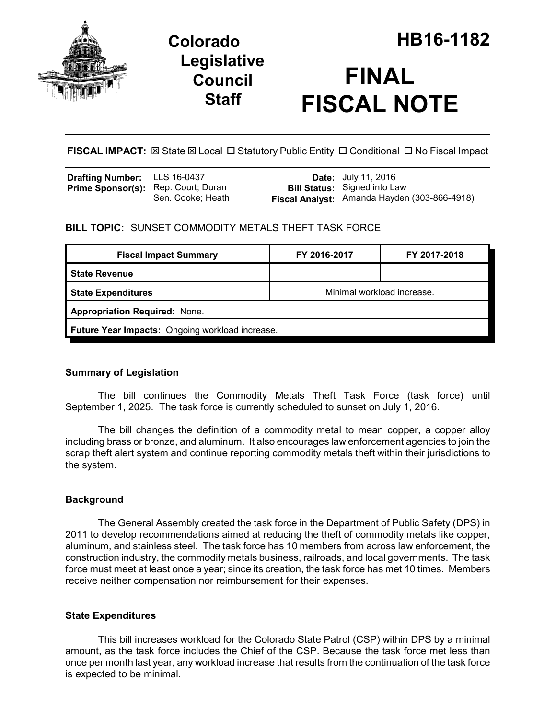

# **Legislative Council Staff**

**FISCAL NOTE**

**FISCAL IMPACT:**  $\boxtimes$  State  $\boxtimes$  Local  $\Box$  Statutory Public Entity  $\Box$  Conditional  $\Box$  No Fiscal Impact

| <b>Drafting Number:</b> LLS 16-0437        |                   | <b>Date:</b> July 11, 2016                   |
|--------------------------------------------|-------------------|----------------------------------------------|
| <b>Prime Sponsor(s):</b> Rep. Court; Duran |                   | <b>Bill Status:</b> Signed into Law          |
|                                            | Sen. Cooke; Heath | Fiscal Analyst: Amanda Hayden (303-866-4918) |

## **BILL TOPIC:** SUNSET COMMODITY METALS THEFT TASK FORCE

| <b>Fiscal Impact Summary</b>                    | FY 2016-2017               | FY 2017-2018 |  |  |  |
|-------------------------------------------------|----------------------------|--------------|--|--|--|
| <b>State Revenue</b>                            |                            |              |  |  |  |
| <b>State Expenditures</b>                       | Minimal workload increase. |              |  |  |  |
| <b>Appropriation Required: None.</b>            |                            |              |  |  |  |
| Future Year Impacts: Ongoing workload increase. |                            |              |  |  |  |

# **Summary of Legislation**

The bill continues the Commodity Metals Theft Task Force (task force) until September 1, 2025. The task force is currently scheduled to sunset on July 1, 2016.

The bill changes the definition of a commodity metal to mean copper, a copper alloy including brass or bronze, and aluminum. It also encourages law enforcement agencies to join the scrap theft alert system and continue reporting commodity metals theft within their jurisdictions to the system.

# **Background**

The General Assembly created the task force in the Department of Public Safety (DPS) in 2011 to develop recommendations aimed at reducing the theft of commodity metals like copper, aluminum, and stainless steel. The task force has 10 members from across law enforcement, the construction industry, the commodity metals business, railroads, and local governments. The task force must meet at least once a year; since its creation, the task force has met 10 times. Members receive neither compensation nor reimbursement for their expenses.

### **State Expenditures**

This bill increases workload for the Colorado State Patrol (CSP) within DPS by a minimal amount, as the task force includes the Chief of the CSP. Because the task force met less than once per month last year, any workload increase that results from the continuation of the task force is expected to be minimal.